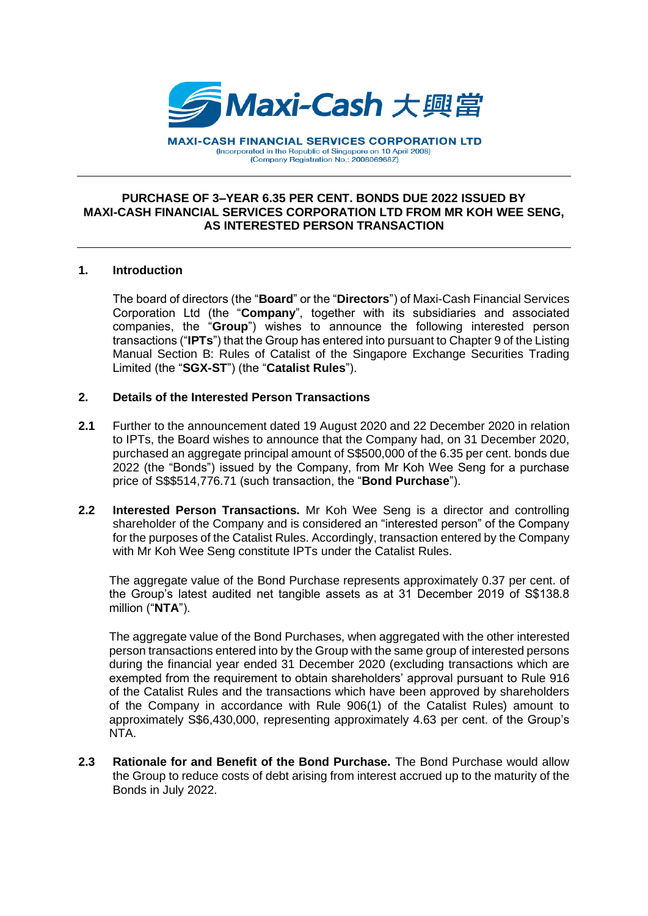

**MAXI-CASH FINANCIAL SERVICES CORPORATION LTD** (Incorporated in the Republic of Singapore on 10 April 2008) (Company Registration No.: 200806968Z)

#### **PURCHASE OF 3–YEAR 6.35 PER CENT. BONDS DUE 2022 ISSUED BY MAXI-CASH FINANCIAL SERVICES CORPORATION LTD FROM MR KOH WEE SENG, AS INTERESTED PERSON TRANSACTION**

# **1. Introduction**

The board of directors (the "**Board**" or the "**Directors**") of Maxi-Cash Financial Services Corporation Ltd (the "**Company**", together with its subsidiaries and associated companies, the "**Group**") wishes to announce the following interested person transactions ("**IPTs**") that the Group has entered into pursuant to Chapter 9 of the Listing Manual Section B: Rules of Catalist of the Singapore Exchange Securities Trading Limited (the "**SGX-ST**") (the "**Catalist Rules**").

# **2. Details of the Interested Person Transactions**

- **2.1** Further to the announcement dated 19 August 2020 and 22 December 2020 in relation to IPTs, the Board wishes to announce that the Company had, on 31 December 2020, purchased an aggregate principal amount of S\$500,000 of the 6.35 per cent. bonds due 2022 (the "Bonds") issued by the Company, from Mr Koh Wee Seng for a purchase price of S\$\$514,776.71 (such transaction, the "**Bond Purchase**").
- **2.2 Interested Person Transactions.** Mr Koh Wee Seng is a director and controlling shareholder of the Company and is considered an "interested person" of the Company for the purposes of the Catalist Rules. Accordingly, transaction entered by the Company with Mr Koh Wee Seng constitute IPTs under the Catalist Rules.

The aggregate value of the Bond Purchase represents approximately 0.37 per cent. of the Group's latest audited net tangible assets as at 31 December 2019 of S\$138.8 million ("**NTA**").

The aggregate value of the Bond Purchases, when aggregated with the other interested person transactions entered into by the Group with the same group of interested persons during the financial year ended 31 December 2020 (excluding transactions which are exempted from the requirement to obtain shareholders' approval pursuant to Rule 916 of the Catalist Rules and the transactions which have been approved by shareholders of the Company in accordance with Rule 906(1) of the Catalist Rules) amount to approximately S\$6,430,000, representing approximately 4.63 per cent. of the Group's NTA.

**2.3 Rationale for and Benefit of the Bond Purchase.** The Bond Purchase would allow the Group to reduce costs of debt arising from interest accrued up to the maturity of the Bonds in July 2022.